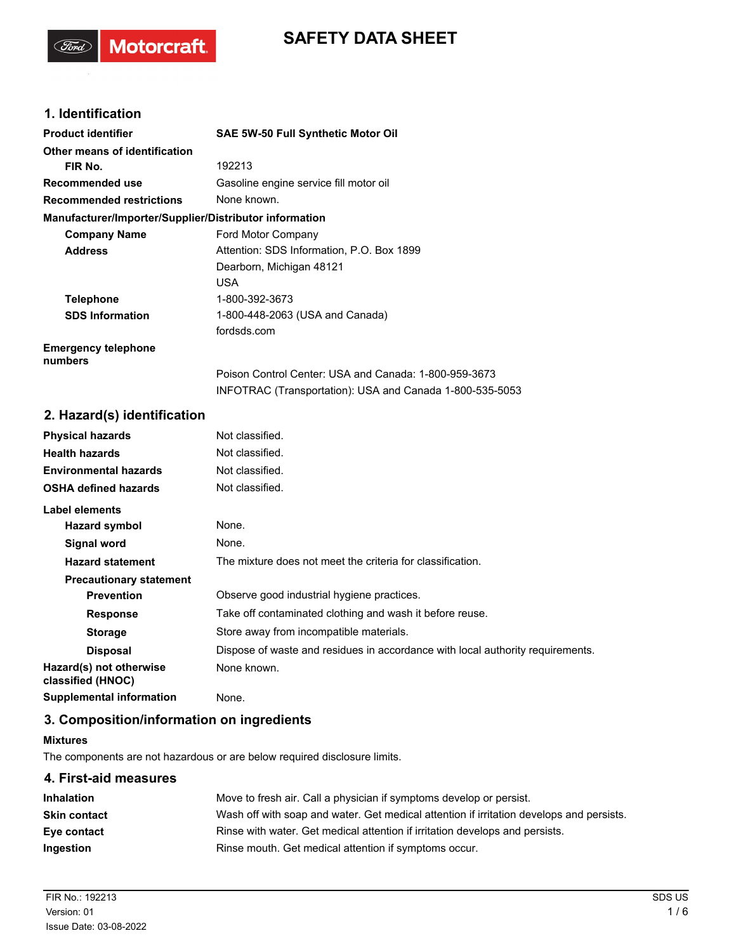# **SAFETY DATA SHEET**

## **1. Identification**

(Ford)

**Motorcraft** 

| <b>Product identifier</b>                              | <b>SAE 5W-50 Full Synthetic Motor Oil</b>                |
|--------------------------------------------------------|----------------------------------------------------------|
| Other means of identification                          |                                                          |
| FIR No.                                                | 192213                                                   |
| Recommended use                                        | Gasoline engine service fill motor oil                   |
| <b>Recommended restrictions</b>                        | None known.                                              |
| Manufacturer/Importer/Supplier/Distributor information |                                                          |
| <b>Company Name</b>                                    | Ford Motor Company                                       |
| <b>Address</b>                                         | Attention: SDS Information, P.O. Box 1899                |
|                                                        | Dearborn, Michigan 48121                                 |
|                                                        | USA.                                                     |
| <b>Telephone</b>                                       | 1-800-392-3673                                           |
| <b>SDS Information</b>                                 | 1-800-448-2063 (USA and Canada)                          |
|                                                        | fordsds.com                                              |
| <b>Emergency telephone</b><br>numbers                  |                                                          |
|                                                        | Poison Control Center: USA and Canada: 1-800-959-3673    |
|                                                        | INFOTRAC (Transportation): USA and Canada 1-800-535-5053 |

### **2. Hazard(s) identification**

| <b>Physical hazards</b>                      | Not classified.                                                                |
|----------------------------------------------|--------------------------------------------------------------------------------|
| <b>Health hazards</b>                        | Not classified.                                                                |
| <b>Environmental hazards</b>                 | Not classified.                                                                |
| <b>OSHA defined hazards</b>                  | Not classified.                                                                |
| Label elements                               |                                                                                |
| Hazard symbol                                | None.                                                                          |
| Signal word                                  | None.                                                                          |
| <b>Hazard statement</b>                      | The mixture does not meet the criteria for classification.                     |
| <b>Precautionary statement</b>               |                                                                                |
| <b>Prevention</b>                            | Observe good industrial hygiene practices.                                     |
| <b>Response</b>                              | Take off contaminated clothing and wash it before reuse.                       |
| <b>Storage</b>                               | Store away from incompatible materials.                                        |
| <b>Disposal</b>                              | Dispose of waste and residues in accordance with local authority requirements. |
| Hazard(s) not otherwise<br>classified (HNOC) | None known.                                                                    |
| <b>Supplemental information</b>              | None.                                                                          |

### **3. Composition/information on ingredients**

#### **Mixtures**

The components are not hazardous or are below required disclosure limits.

# **4. First-aid measures Inhalation** Move to fresh air. Call a physician if symptoms develop or persist. **Skin contact** Wash off with soap and water. Get medical attention if irritation develops and persists. **Eye contact** Rinse with water. Get medical attention if irritation develops and persists. **Ingestion** Rinse mouth. Get medical attention if symptoms occur.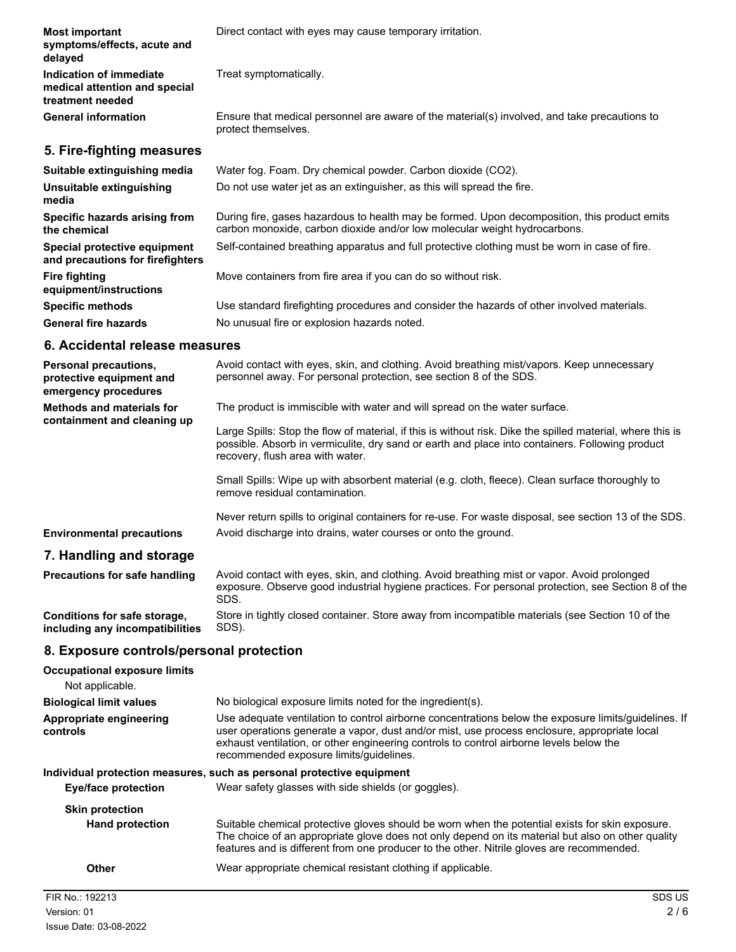| <b>Most important</b><br>symptoms/effects, acute and<br>delayed              | Direct contact with eyes may cause temporary irritation.                                                                                                                  |
|------------------------------------------------------------------------------|---------------------------------------------------------------------------------------------------------------------------------------------------------------------------|
| Indication of immediate<br>medical attention and special<br>treatment needed | Treat symptomatically.                                                                                                                                                    |
| <b>General information</b>                                                   | Ensure that medical personnel are aware of the material(s) involved, and take precautions to<br>protect themselves.                                                       |
| 5. Fire-fighting measures                                                    |                                                                                                                                                                           |
| Suitable extinguishing media                                                 | Water fog. Foam. Dry chemical powder. Carbon dioxide (CO2).                                                                                                               |
| Unsuitable extinguishing<br>media                                            | Do not use water jet as an extinguisher, as this will spread the fire.                                                                                                    |
| Specific hazards arising from<br>the chemical                                | During fire, gases hazardous to health may be formed. Upon decomposition, this product emits<br>carbon monoxide, carbon dioxide and/or low molecular weight hydrocarbons. |
| Special protective equipment<br>and precautions for firefighters             | Self-contained breathing apparatus and full protective clothing must be worn in case of fire.                                                                             |
| <b>Fire fighting</b><br>equipment/instructions                               | Move containers from fire area if you can do so without risk.                                                                                                             |
| <b>Specific methods</b>                                                      | Use standard firefighting procedures and consider the hazards of other involved materials.                                                                                |
| <b>General fire hazards</b>                                                  | No unusual fire or explosion hazards noted.                                                                                                                               |
| 6. Accidental release measures                                               |                                                                                                                                                                           |

| Personal precautions,<br>protective equipment and<br>emergency procedures | Avoid contact with eyes, skin, and clothing. Avoid breathing mist/vapors. Keep unnecessary<br>personnel away. For personal protection, see section 8 of the SDS.                                                                                  |
|---------------------------------------------------------------------------|---------------------------------------------------------------------------------------------------------------------------------------------------------------------------------------------------------------------------------------------------|
| <b>Methods and materials for</b><br>containment and cleaning up           | The product is immiscible with water and will spread on the water surface.                                                                                                                                                                        |
|                                                                           | Large Spills: Stop the flow of material, if this is without risk. Dike the spilled material, where this is<br>possible. Absorb in vermiculite, dry sand or earth and place into containers. Following product<br>recovery, flush area with water. |
|                                                                           | Small Spills: Wipe up with absorbent material (e.g. cloth, fleece). Clean surface thoroughly to<br>remove residual contamination.                                                                                                                 |
|                                                                           | Never return spills to original containers for re-use. For waste disposal, see section 13 of the SDS.                                                                                                                                             |
| <b>Environmental precautions</b>                                          | Avoid discharge into drains, water courses or onto the ground.                                                                                                                                                                                    |
| 7. Handling and storage                                                   |                                                                                                                                                                                                                                                   |
| Precautions for safe handling                                             | Avoid contact with eyes, skin, and clothing. Avoid breathing mist or vapor. Avoid prolonged<br>exposure. Observe good industrial hygiene practices. For personal protection, see Section 8 of the<br>SDS.                                         |
| Conditions for safe storage,<br>including any incompatibilities           | Store in tightly closed container. Store away from incompatible materials (see Section 10 of the<br>SDS).                                                                                                                                         |

# **8. Exposure controls/personal protection**

| <b>Occupational exposure limits</b><br>Not applicable. |                                                                                                                                                                                                                                                                                                                                            |
|--------------------------------------------------------|--------------------------------------------------------------------------------------------------------------------------------------------------------------------------------------------------------------------------------------------------------------------------------------------------------------------------------------------|
| <b>Biological limit values</b>                         | No biological exposure limits noted for the ingredient(s).                                                                                                                                                                                                                                                                                 |
| Appropriate engineering<br>controls                    | Use adequate ventilation to control airborne concentrations below the exposure limits/quidelines. If<br>user operations generate a vapor, dust and/or mist, use process enclosure, appropriate local<br>exhaust ventilation, or other engineering controls to control airborne levels below the<br>recommended exposure limits/guidelines. |
|                                                        | Individual protection measures, such as personal protective equipment                                                                                                                                                                                                                                                                      |
| Eye/face protection                                    | Wear safety glasses with side shields (or goggles).                                                                                                                                                                                                                                                                                        |
| <b>Skin protection</b>                                 |                                                                                                                                                                                                                                                                                                                                            |
| <b>Hand protection</b>                                 | Suitable chemical protective gloves should be worn when the potential exists for skin exposure.<br>The choice of an appropriate glove does not only depend on its material but also on other quality<br>features and is different from one producer to the other. Nitrile gloves are recommended.                                          |
| <b>Other</b>                                           | Wear appropriate chemical resistant clothing if applicable.                                                                                                                                                                                                                                                                                |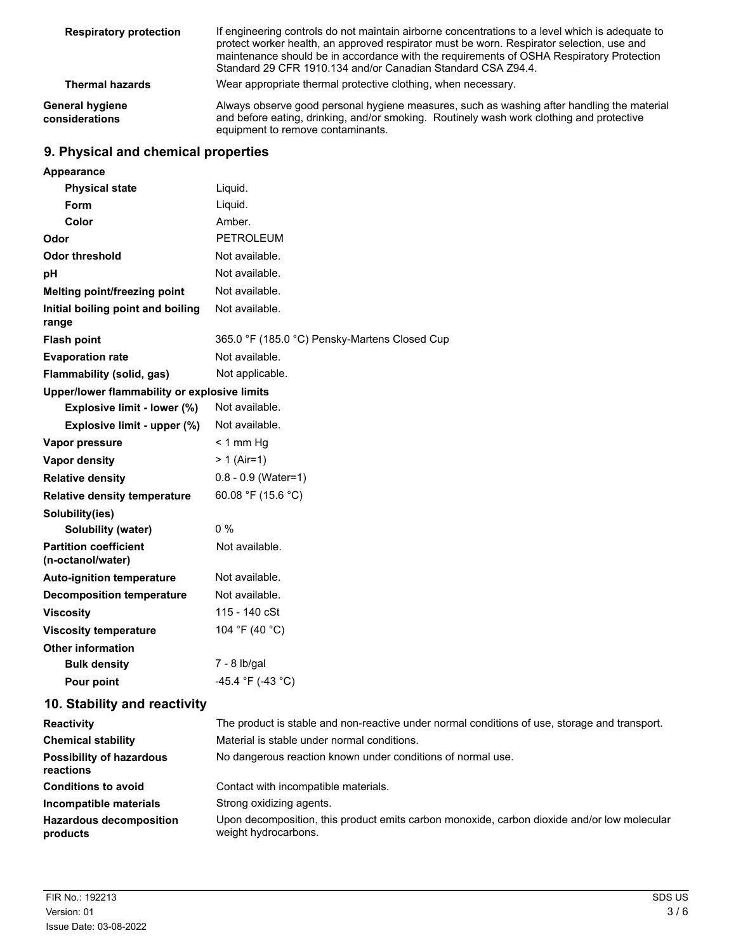| <b>Respiratory protection</b>            | If engineering controls do not maintain airborne concentrations to a level which is adequate to<br>protect worker health, an approved respirator must be worn. Respirator selection, use and<br>maintenance should be in accordance with the requirements of OSHA Respiratory Protection<br>Standard 29 CFR 1910.134 and/or Canadian Standard CSA Z94.4. |
|------------------------------------------|----------------------------------------------------------------------------------------------------------------------------------------------------------------------------------------------------------------------------------------------------------------------------------------------------------------------------------------------------------|
| <b>Thermal hazards</b>                   | Wear appropriate thermal protective clothing, when necessary.                                                                                                                                                                                                                                                                                            |
| <b>General hygiene</b><br>considerations | Always observe good personal hygiene measures, such as washing after handling the material<br>and before eating, drinking, and/or smoking. Routinely wash work clothing and protective<br>equipment to remove contaminants.                                                                                                                              |

# **9. Physical and chemical properties**

| Appearance                                        |                                               |
|---------------------------------------------------|-----------------------------------------------|
| <b>Physical state</b>                             | Liquid.                                       |
| <b>Form</b>                                       | Liquid.                                       |
| Color                                             | Amber.                                        |
| Odor                                              | <b>PETROLEUM</b>                              |
| Odor threshold                                    | Not available.                                |
| рH                                                | Not available.                                |
| Melting point/freezing point                      | Not available.                                |
| Initial boiling point and boiling<br>range        | Not available.                                |
| <b>Flash point</b>                                | 365.0 °F (185.0 °C) Pensky-Martens Closed Cup |
| <b>Evaporation rate</b>                           | Not available.                                |
| Flammability (solid, gas)                         | Not applicable.                               |
| Upper/lower flammability or explosive limits      |                                               |
| Explosive limit - lower (%)                       | Not available.                                |
| Explosive limit - upper (%)                       | Not available.                                |
| Vapor pressure                                    | $< 1$ mm Hg                                   |
| <b>Vapor density</b>                              | $> 1$ (Air=1)                                 |
| <b>Relative density</b>                           | $0.8 - 0.9$ (Water=1)                         |
| <b>Relative density temperature</b>               | 60.08 °F (15.6 °C)                            |
| Solubility(ies)                                   |                                               |
| Solubility (water)                                | 0 %                                           |
| <b>Partition coefficient</b><br>(n-octanol/water) | Not available.                                |
| <b>Auto-ignition temperature</b>                  | Not available.                                |
| <b>Decomposition temperature</b>                  | Not available.                                |
| <b>Viscosity</b>                                  | 115 - 140 cSt                                 |
| <b>Viscosity temperature</b>                      | 104 °F (40 °C)                                |
| <b>Other information</b>                          |                                               |
| <b>Bulk density</b>                               | 7 - 8 lb/gal                                  |
| Pour point                                        | -45.4 °F (-43 °C)                             |

# **10. Stability and reactivity**

| <b>Reactivity</b>                            | The product is stable and non-reactive under normal conditions of use, storage and transport.                       |
|----------------------------------------------|---------------------------------------------------------------------------------------------------------------------|
| <b>Chemical stability</b>                    | Material is stable under normal conditions.                                                                         |
| <b>Possibility of hazardous</b><br>reactions | No dangerous reaction known under conditions of normal use.                                                         |
| <b>Conditions to avoid</b>                   | Contact with incompatible materials.                                                                                |
| Incompatible materials                       | Strong oxidizing agents.                                                                                            |
| <b>Hazardous decomposition</b><br>products   | Upon decomposition, this product emits carbon monoxide, carbon dioxide and/or low molecular<br>weight hydrocarbons. |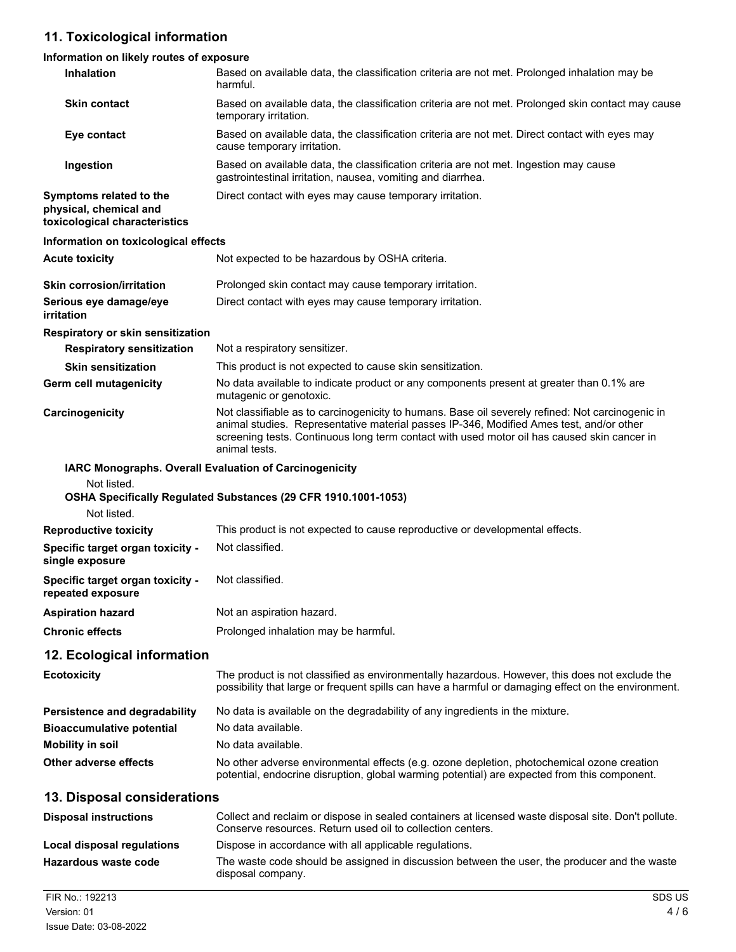# **11. Toxicological information**

## **Information on likely routes of exposure**

| Inhalation                                                                         | Based on available data, the classification criteria are not met. Prolonged inhalation may be<br>harmful.                                                                                                                                                                                                   |
|------------------------------------------------------------------------------------|-------------------------------------------------------------------------------------------------------------------------------------------------------------------------------------------------------------------------------------------------------------------------------------------------------------|
| <b>Skin contact</b>                                                                | Based on available data, the classification criteria are not met. Prolonged skin contact may cause<br>temporary irritation.                                                                                                                                                                                 |
| Eye contact                                                                        | Based on available data, the classification criteria are not met. Direct contact with eyes may<br>cause temporary irritation.                                                                                                                                                                               |
| Ingestion                                                                          | Based on available data, the classification criteria are not met. Ingestion may cause<br>gastrointestinal irritation, nausea, vomiting and diarrhea.                                                                                                                                                        |
| Symptoms related to the<br>physical, chemical and<br>toxicological characteristics | Direct contact with eyes may cause temporary irritation.                                                                                                                                                                                                                                                    |
| Information on toxicological effects                                               |                                                                                                                                                                                                                                                                                                             |
| <b>Acute toxicity</b>                                                              | Not expected to be hazardous by OSHA criteria.                                                                                                                                                                                                                                                              |
| <b>Skin corrosion/irritation</b>                                                   | Prolonged skin contact may cause temporary irritation.                                                                                                                                                                                                                                                      |
| Serious eye damage/eye<br>irritation                                               | Direct contact with eyes may cause temporary irritation.                                                                                                                                                                                                                                                    |
| Respiratory or skin sensitization                                                  |                                                                                                                                                                                                                                                                                                             |
| <b>Respiratory sensitization</b>                                                   | Not a respiratory sensitizer.                                                                                                                                                                                                                                                                               |
| <b>Skin sensitization</b>                                                          | This product is not expected to cause skin sensitization.                                                                                                                                                                                                                                                   |
| Germ cell mutagenicity                                                             | No data available to indicate product or any components present at greater than 0.1% are<br>mutagenic or genotoxic.                                                                                                                                                                                         |
| Carcinogenicity                                                                    | Not classifiable as to carcinogenicity to humans. Base oil severely refined: Not carcinogenic in<br>animal studies. Representative material passes IP-346, Modified Ames test, and/or other<br>screening tests. Continuous long term contact with used motor oil has caused skin cancer in<br>animal tests. |
| Not listed.<br>Not listed.                                                         | IARC Monographs. Overall Evaluation of Carcinogenicity<br>OSHA Specifically Regulated Substances (29 CFR 1910.1001-1053)                                                                                                                                                                                    |
| <b>Reproductive toxicity</b>                                                       | This product is not expected to cause reproductive or developmental effects.                                                                                                                                                                                                                                |
| Specific target organ toxicity -<br>single exposure                                | Not classified.                                                                                                                                                                                                                                                                                             |
| Specific target organ toxicity -<br>repeated exposure                              | Not classified.                                                                                                                                                                                                                                                                                             |
| <b>Aspiration hazard</b>                                                           | Not an aspiration hazard.                                                                                                                                                                                                                                                                                   |
| <b>Chronic effects</b>                                                             | Prolonged inhalation may be harmful.                                                                                                                                                                                                                                                                        |
| 12. Ecological information                                                         |                                                                                                                                                                                                                                                                                                             |
| <b>Ecotoxicity</b>                                                                 | The product is not classified as environmentally hazardous. However, this does not exclude the<br>possibility that large or frequent spills can have a harmful or damaging effect on the environment.                                                                                                       |
| <b>Persistence and degradability</b>                                               | No data is available on the degradability of any ingredients in the mixture.                                                                                                                                                                                                                                |
| <b>Bioaccumulative potential</b>                                                   | No data available.                                                                                                                                                                                                                                                                                          |
| <b>Mobility in soil</b>                                                            | No data available.                                                                                                                                                                                                                                                                                          |
| Other adverse effects                                                              | No other adverse environmental effects (e.g. ozone depletion, photochemical ozone creation<br>potential, endocrine disruption, global warming potential) are expected from this component.                                                                                                                  |
| 13. Disposal considerations                                                        |                                                                                                                                                                                                                                                                                                             |
| <b>Disposal instructions</b>                                                       | Collect and reclaim or dispose in sealed containers at licensed waste disposal site. Don't pollute.<br>Conserve resources. Return used oil to collection centers.                                                                                                                                           |
| Local disposal regulations                                                         | Dispose in accordance with all applicable regulations.                                                                                                                                                                                                                                                      |
| Hazardous waste code                                                               | The waste code should be assigned in discussion between the user, the producer and the waste<br>disposal company.                                                                                                                                                                                           |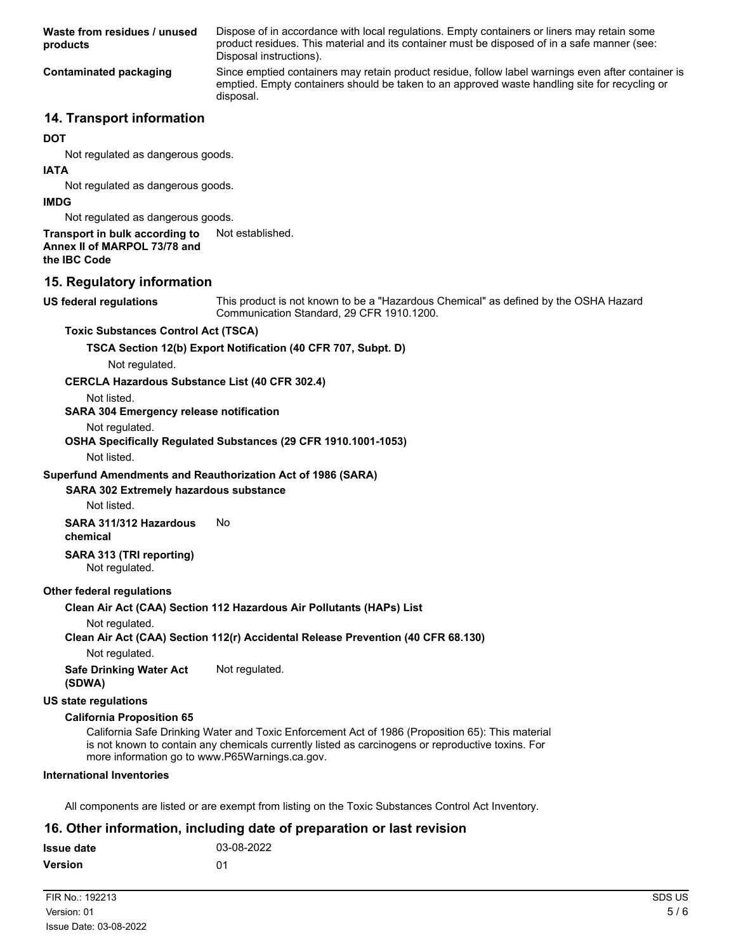Dispose of in accordance with local regulations. Empty containers or liners may retain some product residues. This material and its container must be disposed of in a safe manner (see: Disposal instructions). **Waste from residues / unused products** Since emptied containers may retain product residue, follow label warnings even after container is emptied. Empty containers should be taken to an approved waste handling site for recycling or disposal. **Contaminated packaging**

### **14. Transport information**

#### **DOT**

Not regulated as dangerous goods.

#### **IATA**

Not regulated as dangerous goods.

#### **IMDG**

Not regulated as dangerous goods.

### **Transport in bulk according to** Not established.

**Annex II of MARPOL 73/78 and**

**the IBC Code**

### **15. Regulatory information**

**US federal regulations**

This product is not known to be a "Hazardous Chemical" as defined by the OSHA Hazard Communication Standard, 29 CFR 1910.1200.

#### **Toxic Substances Control Act (TSCA)**

**TSCA Section 12(b) Export Notification (40 CFR 707, Subpt. D)**

Not regulated.

#### **CERCLA Hazardous Substance List (40 CFR 302.4)**

Not listed.

#### **SARA 304 Emergency release notification**

Not regulated.

#### **OSHA Specifically Regulated Substances (29 CFR 1910.1001-1053)**

Not listed.

#### **Superfund Amendments and Reauthorization Act of 1986 (SARA)**

### **SARA 302 Extremely hazardous substance**

Not listed.

**SARA 311/312 Hazardous** No

**chemical**

#### **SARA 313 (TRI reporting)** Not regulated.

#### **Other federal regulations**

**Clean Air Act (CAA) Section 112 Hazardous Air Pollutants (HAPs) List**

#### Not regulated.

#### **Clean Air Act (CAA) Section 112(r) Accidental Release Prevention (40 CFR 68.130)**

Not regulated.

**Safe Drinking Water Act** Not regulated. **(SDWA)**

#### **US state regulations**

#### **California Proposition 65**

California Safe Drinking Water and Toxic Enforcement Act of 1986 (Proposition 65): This material is not known to contain any chemicals currently listed as carcinogens or reproductive toxins. For more information go to www.P65Warnings.ca.gov.

#### **International Inventories**

All components are listed or are exempt from listing on the Toxic Substances Control Act Inventory.

### **16. Other information, including date of preparation or last revision**

| <b>Issue date</b> | 03-08-2022 |
|-------------------|------------|
| Version           | በ1         |